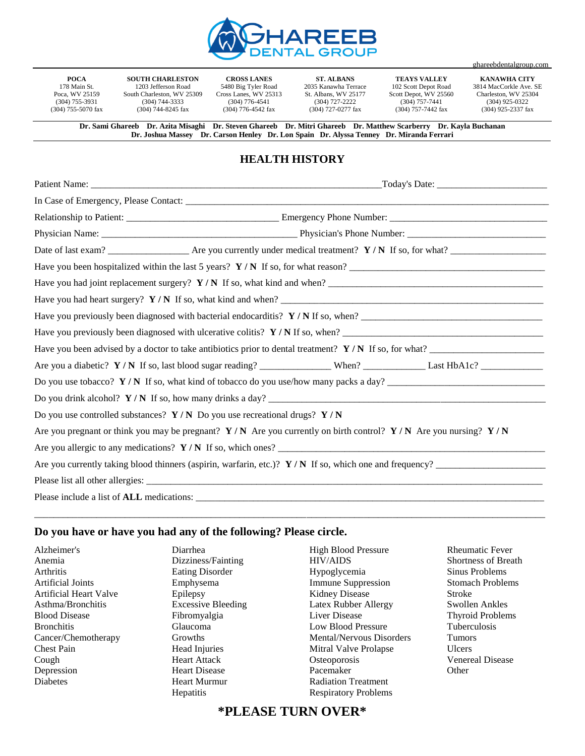

**POCA** 178 Main St. Poca, WV 25159 (304) 755-3931 (304) 755-5070 fax

**SOUTH CHARLESTON** 1203 Jefferson Road South Charleston, WV 25309 (304) 744-3333 (304) 744-8245 fax

**CROSS LANES** 5480 Big Tyler Road Cross Lanes, WV 25313 (304) 776-4541 (304) 776-4542 fax

**ST. ALBANS** 2035 Kanawha Terrace St. Albans, WV 25177 (304) 727-2222 (304) 727-0277 fax

**TEAYS VALLEY** 102 Scott Depot Road Scott Depot, WV 25560 (304) 757-7441 (304) 757-7442 fax

**KANAWHA CITY** 3814 MacCorkle Ave. SE Charleston, WV 25304 (304) 925-0322  $(304)$  925-2337 fax

ghareebdentalgroup.com

**Dr. Sami Ghareeb Dr. Azita Misaghi Dr. Steven Ghareeb Dr. Mitri Ghareeb Dr. Matthew Scarberry Dr. Kayla Buchanan Dr. Joshua Massey Dr. Carson Henley Dr. Lon Spain Dr. Alyssa Tenney Dr. Miranda Ferrari**

## **HEALTH HISTORY**

|                                                                                                                       |  |  | Have you been hospitalized within the last 5 years? $Y/N$ If so, for what reason?                        |  |
|-----------------------------------------------------------------------------------------------------------------------|--|--|----------------------------------------------------------------------------------------------------------|--|
|                                                                                                                       |  |  | Have you had joint replacement surgery? $Y/N$ If so, what kind and when?                                 |  |
|                                                                                                                       |  |  |                                                                                                          |  |
| Have you previously been diagnosed with bacterial endocarditis? Y / N If so, when?                                    |  |  |                                                                                                          |  |
|                                                                                                                       |  |  | Have you previously been diagnosed with ulcerative colitis? $Y/N$ If so, when?                           |  |
|                                                                                                                       |  |  | Have you been advised by a doctor to take antibiotics prior to dental treatment? $Y/N$ If so, for what?  |  |
|                                                                                                                       |  |  |                                                                                                          |  |
| Do you use tobacco? $Y/N$ If so, what kind of tobacco do you use/how many packs a day?                                |  |  |                                                                                                          |  |
|                                                                                                                       |  |  |                                                                                                          |  |
| Do you use controlled substances? $Y/N$ Do you use recreational drugs? $Y/N$                                          |  |  |                                                                                                          |  |
| Are you pregnant or think you may be pregnant? $Y/N$ Are you currently on birth control? $Y/N$ Are you nursing? $Y/N$ |  |  |                                                                                                          |  |
|                                                                                                                       |  |  |                                                                                                          |  |
|                                                                                                                       |  |  | Are you currently taking blood thinners (aspirin, warfarin, etc.)? $Y/N$ If so, which one and frequency? |  |
|                                                                                                                       |  |  |                                                                                                          |  |
|                                                                                                                       |  |  |                                                                                                          |  |

\_\_\_\_\_\_\_\_\_\_\_\_\_\_\_\_\_\_\_\_\_\_\_\_\_\_\_\_\_\_\_\_\_\_\_\_\_\_\_\_\_\_\_\_\_\_\_\_\_\_\_\_\_\_\_\_\_\_\_\_\_\_\_\_\_\_\_\_\_\_\_\_\_\_\_\_\_\_\_\_\_\_\_\_\_\_\_\_\_\_\_\_\_\_\_\_\_\_\_\_\_\_\_\_\_\_\_

## **Do you have or have you had any of the following? Please circle.**

Alzheimer's Anemia Arthritis Artificial Joints Artificial Heart Valve Asthma/Bronchitis Blood Disease Bronchitis Cancer/Chemotherapy Chest Pain Cough Depression Diabetes

Diarrhea Dizziness/Fainting Eating Disorder Emphysema Epilepsy Excessive Bleeding Fibromyalgia Glaucoma Growths Head Injuries Heart Attack Heart Disease Heart Murmur **Hepatitis** 

High Blood Pressure HIV/AIDS Hypoglycemia Immune Suppression Kidney Disease Latex Rubber Allergy Liver Disease Low Blood Pressure Mental/Nervous Disorders Mitral Valve Prolapse **Osteoporosis** Pacemaker Radiation Treatment Respiratory Problems

Rheumatic Fever Shortness of Breath Sinus Problems Stomach Problems Stroke Swollen Ankles Thyroid Problems Tuberculosis Tumors Ulcers Venereal Disease **Other** 

## **\*PLEASE TURN OVER\***